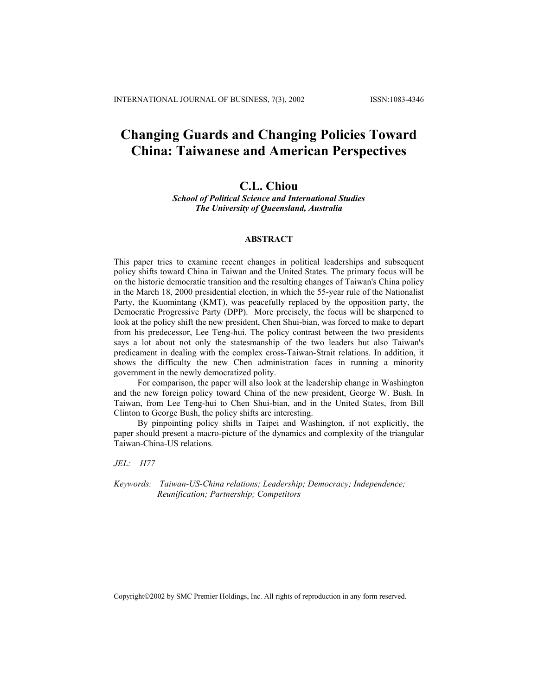# **Changing Guards and Changing Policies Toward China: Taiwanese and American Perspectives**

# **C.L. Chiou**

*School of Political Science and International Studies The University of Queensland, Australia*

# **ABSTRACT**

This paper tries to examine recent changes in political leaderships and subsequent policy shifts toward China in Taiwan and the United States. The primary focus will be on the historic democratic transition and the resulting changes of Taiwan's China policy in the March 18, 2000 presidential election, in which the 55-year rule of the Nationalist Party, the Kuomintang (KMT), was peacefully replaced by the opposition party, the Democratic Progressive Party (DPP). More precisely, the focus will be sharpened to look at the policy shift the new president, Chen Shui-bian, was forced to make to depart from his predecessor, Lee Teng-hui. The policy contrast between the two presidents says a lot about not only the statesmanship of the two leaders but also Taiwan's predicament in dealing with the complex cross-Taiwan-Strait relations. In addition, it shows the difficulty the new Chen administration faces in running a minority government in the newly democratized polity.

For comparison, the paper will also look at the leadership change in Washington and the new foreign policy toward China of the new president, George W. Bush. In Taiwan, from Lee Teng-hui to Chen Shui-bian, and in the United States, from Bill Clinton to George Bush, the policy shifts are interesting.

By pinpointing policy shifts in Taipei and Washington, if not explicitly, the paper should present a macro-picture of the dynamics and complexity of the triangular Taiwan-China-US relations.

*JEL: H77* 

*Keywords: Taiwan-US-China relations; Leadership; Democracy; Independence; Reunification; Partnership; Competitors* 

Copyright2002 by SMC Premier Holdings, Inc. All rights of reproduction in any form reserved.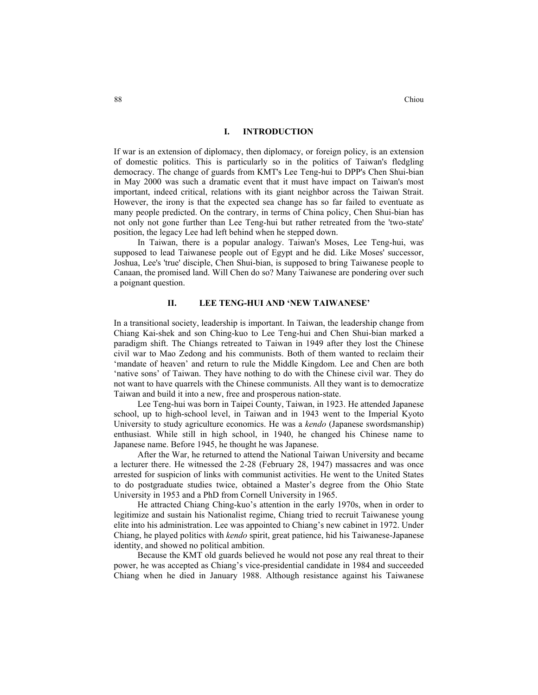88 Chiou

# **I. INTRODUCTION**

If war is an extension of diplomacy, then diplomacy, or foreign policy, is an extension of domestic politics. This is particularly so in the politics of Taiwan's fledgling democracy. The change of guards from KMT's Lee Teng-hui to DPP's Chen Shui-bian in May 2000 was such a dramatic event that it must have impact on Taiwan's most important, indeed critical, relations with its giant neighbor across the Taiwan Strait. However, the irony is that the expected sea change has so far failed to eventuate as many people predicted. On the contrary, in terms of China policy, Chen Shui-bian has not only not gone further than Lee Teng-hui but rather retreated from the 'two-state' position, the legacy Lee had left behind when he stepped down.

In Taiwan, there is a popular analogy. Taiwan's Moses, Lee Teng-hui, was supposed to lead Taiwanese people out of Egypt and he did. Like Moses' successor, Joshua, Lee's 'true' disciple, Chen Shui-bian, is supposed to bring Taiwanese people to Canaan, the promised land. Will Chen do so? Many Taiwanese are pondering over such a poignant question.

#### **II. LEE TENG-HUI AND 'NEW TAIWANESE'**

In a transitional society, leadership is important. In Taiwan, the leadership change from Chiang Kai-shek and son Ching-kuo to Lee Teng-hui and Chen Shui-bian marked a paradigm shift. The Chiangs retreated to Taiwan in 1949 after they lost the Chinese civil war to Mao Zedong and his communists. Both of them wanted to reclaim their 'mandate of heaven' and return to rule the Middle Kingdom. Lee and Chen are both 'native sons' of Taiwan. They have nothing to do with the Chinese civil war. They do not want to have quarrels with the Chinese communists. All they want is to democratize Taiwan and build it into a new, free and prosperous nation-state.

Lee Teng-hui was born in Taipei County, Taiwan, in 1923. He attended Japanese school, up to high-school level, in Taiwan and in 1943 went to the Imperial Kyoto University to study agriculture economics. He was a *kendo* (Japanese swordsmanship) enthusiast. While still in high school, in 1940, he changed his Chinese name to Japanese name. Before 1945, he thought he was Japanese.

After the War, he returned to attend the National Taiwan University and became a lecturer there. He witnessed the 2-28 (February 28, 1947) massacres and was once arrested for suspicion of links with communist activities. He went to the United States to do postgraduate studies twice, obtained a Master's degree from the Ohio State University in 1953 and a PhD from Cornell University in 1965.

He attracted Chiang Ching-kuo's attention in the early 1970s, when in order to legitimize and sustain his Nationalist regime, Chiang tried to recruit Taiwanese young elite into his administration. Lee was appointed to Chiang's new cabinet in 1972. Under Chiang, he played politics with *kendo* spirit, great patience, hid his Taiwanese-Japanese identity, and showed no political ambition.

Because the KMT old guards believed he would not pose any real threat to their power, he was accepted as Chiang's vice-presidential candidate in 1984 and succeeded Chiang when he died in January 1988. Although resistance against his Taiwanese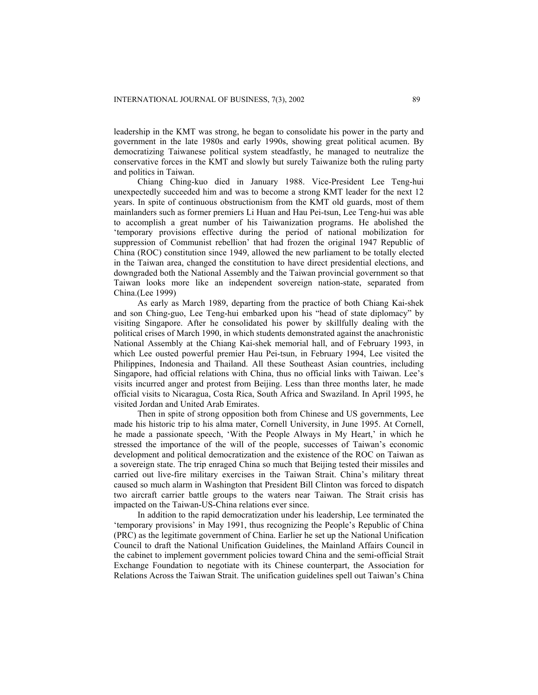leadership in the KMT was strong, he began to consolidate his power in the party and government in the late 1980s and early 1990s, showing great political acumen. By democratizing Taiwanese political system steadfastly, he managed to neutralize the conservative forces in the KMT and slowly but surely Taiwanize both the ruling party and politics in Taiwan.

Chiang Ching-kuo died in January 1988. Vice-President Lee Teng-hui unexpectedly succeeded him and was to become a strong KMT leader for the next 12 years. In spite of continuous obstructionism from the KMT old guards, most of them mainlanders such as former premiers Li Huan and Hau Pei-tsun, Lee Teng-hui was able to accomplish a great number of his Taiwanization programs. He abolished the 'temporary provisions effective during the period of national mobilization for suppression of Communist rebellion' that had frozen the original 1947 Republic of China (ROC) constitution since 1949, allowed the new parliament to be totally elected in the Taiwan area, changed the constitution to have direct presidential elections, and downgraded both the National Assembly and the Taiwan provincial government so that Taiwan looks more like an independent sovereign nation-state, separated from China.(Lee 1999)

As early as March 1989, departing from the practice of both Chiang Kai-shek and son Ching-guo, Lee Teng-hui embarked upon his "head of state diplomacy" by visiting Singapore. After he consolidated his power by skillfully dealing with the political crises of March 1990, in which students demonstrated against the anachronistic National Assembly at the Chiang Kai-shek memorial hall, and of February 1993, in which Lee ousted powerful premier Hau Pei-tsun, in February 1994, Lee visited the Philippines, Indonesia and Thailand. All these Southeast Asian countries, including Singapore, had official relations with China, thus no official links with Taiwan. Lee's visits incurred anger and protest from Beijing. Less than three months later, he made official visits to Nicaragua, Costa Rica, South Africa and Swaziland. In April 1995, he visited Jordan and United Arab Emirates.

Then in spite of strong opposition both from Chinese and US governments, Lee made his historic trip to his alma mater, Cornell University, in June 1995. At Cornell, he made a passionate speech, 'With the People Always in My Heart,' in which he stressed the importance of the will of the people, successes of Taiwan's economic development and political democratization and the existence of the ROC on Taiwan as a sovereign state. The trip enraged China so much that Beijing tested their missiles and carried out live-fire military exercises in the Taiwan Strait. China's military threat caused so much alarm in Washington that President Bill Clinton was forced to dispatch two aircraft carrier battle groups to the waters near Taiwan. The Strait crisis has impacted on the Taiwan-US-China relations ever since.

In addition to the rapid democratization under his leadership, Lee terminated the 'temporary provisions' in May 1991, thus recognizing the People's Republic of China (PRC) as the legitimate government of China. Earlier he set up the National Unification Council to draft the National Unification Guidelines, the Mainland Affairs Council in the cabinet to implement government policies toward China and the semi-official Strait Exchange Foundation to negotiate with its Chinese counterpart, the Association for Relations Across the Taiwan Strait. The unification guidelines spell out Taiwan's China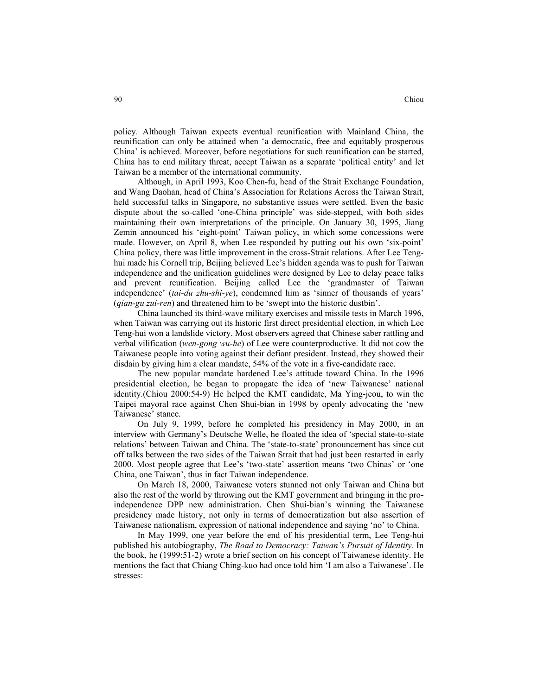policy. Although Taiwan expects eventual reunification with Mainland China, the reunification can only be attained when 'a democratic, free and equitably prosperous China' is achieved. Moreover, before negotiations for such reunification can be started, China has to end military threat, accept Taiwan as a separate 'political entity' and let Taiwan be a member of the international community.

Although, in April 1993, Koo Chen-fu, head of the Strait Exchange Foundation, and Wang Daohan, head of China's Association for Relations Across the Taiwan Strait, held successful talks in Singapore, no substantive issues were settled. Even the basic dispute about the so-called 'one-China principle' was side-stepped, with both sides maintaining their own interpretations of the principle. On January 30, 1995, Jiang Zemin announced his 'eight-point' Taiwan policy, in which some concessions were made. However, on April 8, when Lee responded by putting out his own 'six-point' China policy, there was little improvement in the cross-Strait relations. After Lee Tenghui made his Cornell trip, Beijing believed Lee's hidden agenda was to push for Taiwan independence and the unification guidelines were designed by Lee to delay peace talks and prevent reunification. Beijing called Lee the 'grandmaster of Taiwan independence' (*tai-du zhu-shi-ye*), condemned him as 'sinner of thousands of years' (*qian-gu zui-ren*) and threatened him to be 'swept into the historic dustbin'.

China launched its third-wave military exercises and missile tests in March 1996, when Taiwan was carrying out its historic first direct presidential election, in which Lee Teng-hui won a landslide victory. Most observers agreed that Chinese saber rattling and verbal vilification (*wen-gong wu-he*) of Lee were counterproductive. It did not cow the Taiwanese people into voting against their defiant president. Instead, they showed their disdain by giving him a clear mandate, 54% of the vote in a five-candidate race.

The new popular mandate hardened Lee's attitude toward China. In the 1996 presidential election, he began to propagate the idea of 'new Taiwanese' national identity.(Chiou 2000:54-9) He helped the KMT candidate, Ma Ying-jeou, to win the Taipei mayoral race against Chen Shui-bian in 1998 by openly advocating the 'new Taiwanese' stance.

On July 9, 1999, before he completed his presidency in May 2000, in an interview with Germany's Deutsche Welle, he floated the idea of 'special state-to-state relations' between Taiwan and China. The 'state-to-state' pronouncement has since cut off talks between the two sides of the Taiwan Strait that had just been restarted in early 2000. Most people agree that Lee's 'two-state' assertion means 'two Chinas' or 'one China, one Taiwan', thus in fact Taiwan independence.

On March 18, 2000, Taiwanese voters stunned not only Taiwan and China but also the rest of the world by throwing out the KMT government and bringing in the proindependence DPP new administration. Chen Shui-bian's winning the Taiwanese presidency made history, not only in terms of democratization but also assertion of Taiwanese nationalism, expression of national independence and saying 'no' to China.

In May 1999, one year before the end of his presidential term, Lee Teng-hui published his autobiography, *The Road to Democracy: Taiwan's Pursuit of Identity.* In the book, he (1999:51-2) wrote a brief section on his concept of Taiwanese identity. He mentions the fact that Chiang Ching-kuo had once told him 'I am also a Taiwanese'. He stresses: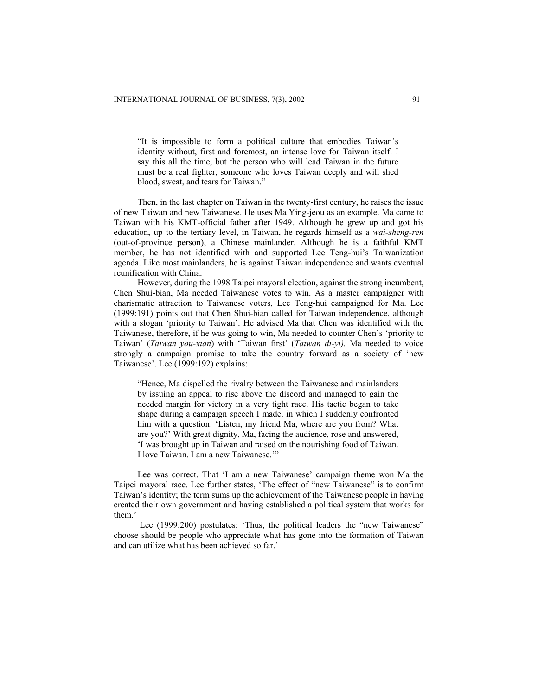"It is impossible to form a political culture that embodies Taiwan's identity without, first and foremost, an intense love for Taiwan itself. I say this all the time, but the person who will lead Taiwan in the future must be a real fighter, someone who loves Taiwan deeply and will shed blood, sweat, and tears for Taiwan."

Then, in the last chapter on Taiwan in the twenty-first century, he raises the issue of new Taiwan and new Taiwanese. He uses Ma Ying-jeou as an example. Ma came to Taiwan with his KMT-official father after 1949. Although he grew up and got his education, up to the tertiary level, in Taiwan, he regards himself as a *wai-sheng-ren* (out-of-province person), a Chinese mainlander. Although he is a faithful KMT member, he has not identified with and supported Lee Teng-hui's Taiwanization agenda. Like most mainlanders, he is against Taiwan independence and wants eventual reunification with China.

However, during the 1998 Taipei mayoral election, against the strong incumbent, Chen Shui-bian, Ma needed Taiwanese votes to win. As a master campaigner with charismatic attraction to Taiwanese voters, Lee Teng-hui campaigned for Ma. Lee (1999:191) points out that Chen Shui-bian called for Taiwan independence, although with a slogan 'priority to Taiwan'. He advised Ma that Chen was identified with the Taiwanese, therefore, if he was going to win, Ma needed to counter Chen's 'priority to Taiwan' (*Taiwan you-xian*) with 'Taiwan first' (*Taiwan di-yi).* Ma needed to voice strongly a campaign promise to take the country forward as a society of 'new Taiwanese'. Lee (1999:192) explains:

"Hence, Ma dispelled the rivalry between the Taiwanese and mainlanders by issuing an appeal to rise above the discord and managed to gain the needed margin for victory in a very tight race. His tactic began to take shape during a campaign speech I made, in which I suddenly confronted him with a question: 'Listen, my friend Ma, where are you from? What are you?' With great dignity, Ma, facing the audience, rose and answered, 'I was brought up in Taiwan and raised on the nourishing food of Taiwan. I love Taiwan. I am a new Taiwanese.'"

Lee was correct. That 'I am a new Taiwanese' campaign theme won Ma the Taipei mayoral race. Lee further states, 'The effect of "new Taiwanese" is to confirm Taiwan's identity; the term sums up the achievement of the Taiwanese people in having created their own government and having established a political system that works for them.'

Lee (1999:200) postulates: 'Thus, the political leaders the "new Taiwanese" choose should be people who appreciate what has gone into the formation of Taiwan and can utilize what has been achieved so far.'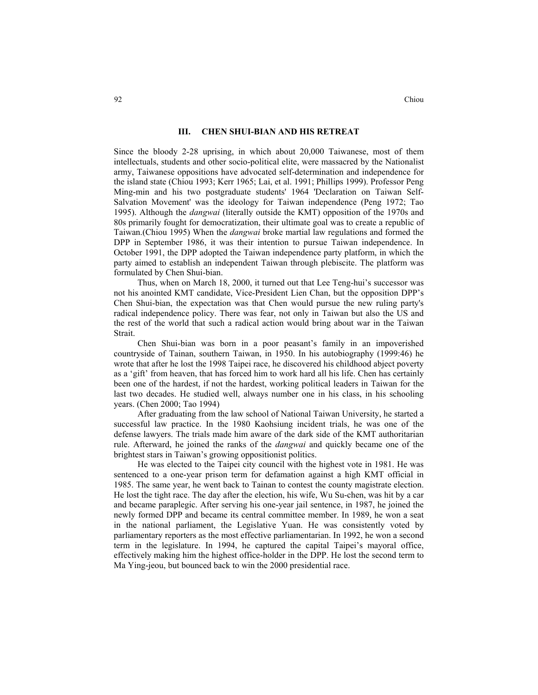#### **III. CHEN SHUI-BIAN AND HIS RETREAT**

Since the bloody 2-28 uprising, in which about 20,000 Taiwanese, most of them intellectuals, students and other socio-political elite, were massacred by the Nationalist army, Taiwanese oppositions have advocated self-determination and independence for the island state (Chiou 1993; Kerr 1965; Lai, et al. 1991; Phillips 1999). Professor Peng Ming-min and his two postgraduate students' 1964 'Declaration on Taiwan Self-Salvation Movement' was the ideology for Taiwan independence (Peng 1972; Tao 1995). Although the *dangwai* (literally outside the KMT) opposition of the 1970s and 80s primarily fought for democratization, their ultimate goal was to create a republic of Taiwan.(Chiou 1995) When the *dangwai* broke martial law regulations and formed the DPP in September 1986, it was their intention to pursue Taiwan independence. In October 1991, the DPP adopted the Taiwan independence party platform, in which the party aimed to establish an independent Taiwan through plebiscite. The platform was formulated by Chen Shui-bian.

Thus, when on March 18, 2000, it turned out that Lee Teng-hui's successor was not his anointed KMT candidate, Vice-President Lien Chan, but the opposition DPP's Chen Shui-bian, the expectation was that Chen would pursue the new ruling party's radical independence policy. There was fear, not only in Taiwan but also the US and the rest of the world that such a radical action would bring about war in the Taiwan Strait.

Chen Shui-bian was born in a poor peasant's family in an impoverished countryside of Tainan, southern Taiwan, in 1950. In his autobiography (1999:46) he wrote that after he lost the 1998 Taipei race, he discovered his childhood abject poverty as a 'gift' from heaven, that has forced him to work hard all his life. Chen has certainly been one of the hardest, if not the hardest, working political leaders in Taiwan for the last two decades. He studied well, always number one in his class, in his schooling years. (Chen 2000; Tao 1994)

After graduating from the law school of National Taiwan University, he started a successful law practice. In the 1980 Kaohsiung incident trials, he was one of the defense lawyers. The trials made him aware of the dark side of the KMT authoritarian rule. Afterward, he joined the ranks of the *dangwai* and quickly became one of the brightest stars in Taiwan's growing oppositionist politics.

He was elected to the Taipei city council with the highest vote in 1981. He was sentenced to a one-year prison term for defamation against a high KMT official in 1985. The same year, he went back to Tainan to contest the county magistrate election. He lost the tight race. The day after the election, his wife, Wu Su-chen, was hit by a car and became paraplegic. After serving his one-year jail sentence, in 1987, he joined the newly formed DPP and became its central committee member. In 1989, he won a seat in the national parliament, the Legislative Yuan. He was consistently voted by parliamentary reporters as the most effective parliamentarian. In 1992, he won a second term in the legislature. In 1994, he captured the capital Taipei's mayoral office, effectively making him the highest office-holder in the DPP. He lost the second term to Ma Ying-jeou, but bounced back to win the 2000 presidential race.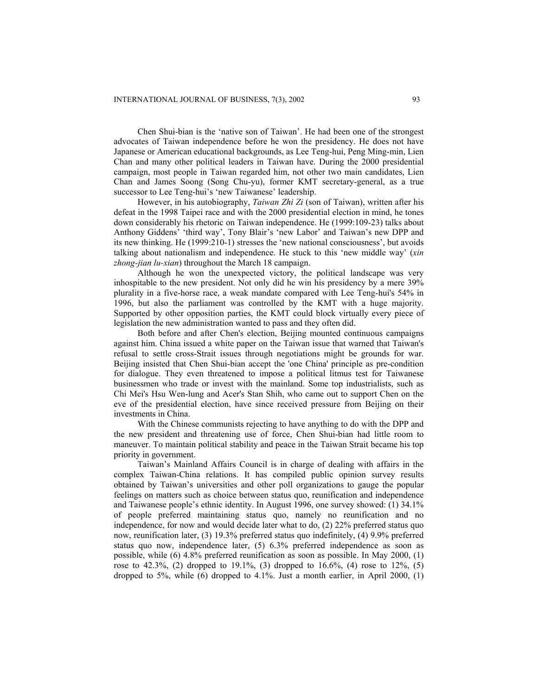Chen Shui-bian is the 'native son of Taiwan'. He had been one of the strongest advocates of Taiwan independence before he won the presidency. He does not have Japanese or American educational backgrounds, as Lee Teng-hui, Peng Ming-min, Lien Chan and many other political leaders in Taiwan have. During the 2000 presidential campaign, most people in Taiwan regarded him, not other two main candidates, Lien Chan and James Soong (Song Chu-yu), former KMT secretary-general, as a true successor to Lee Teng-hui's 'new Taiwanese' leadership.

However, in his autobiography, *Taiwan Zhi Zi* (son of Taiwan), written after his defeat in the 1998 Taipei race and with the 2000 presidential election in mind, he tones down considerably his rhetoric on Taiwan independence. He (1999:109-23) talks about Anthony Giddens' 'third way', Tony Blair's 'new Labor' and Taiwan's new DPP and its new thinking. He (1999:210-1) stresses the 'new national consciousness', but avoids talking about nationalism and independence. He stuck to this 'new middle way' (*xin zhong-jian lu-xian*) throughout the March 18 campaign.

Although he won the unexpected victory, the political landscape was very inhospitable to the new president. Not only did he win his presidency by a mere 39% plurality in a five-horse race, a weak mandate compared with Lee Teng-hui's 54% in 1996, but also the parliament was controlled by the KMT with a huge majority. Supported by other opposition parties, the KMT could block virtually every piece of legislation the new administration wanted to pass and they often did.

Both before and after Chen's election, Beijing mounted continuous campaigns against him. China issued a white paper on the Taiwan issue that warned that Taiwan's refusal to settle cross-Strait issues through negotiations might be grounds for war. Beijing insisted that Chen Shui-bian accept the 'one China' principle as pre-condition for dialogue. They even threatened to impose a political litmus test for Taiwanese businessmen who trade or invest with the mainland. Some top industrialists, such as Chi Mei's Hsu Wen-lung and Acer's Stan Shih, who came out to support Chen on the eve of the presidential election, have since received pressure from Beijing on their investments in China.

With the Chinese communists rejecting to have anything to do with the DPP and the new president and threatening use of force, Chen Shui-bian had little room to maneuver. To maintain political stability and peace in the Taiwan Strait became his top priority in government.

Taiwan's Mainland Affairs Council is in charge of dealing with affairs in the complex Taiwan-China relations. It has compiled public opinion survey results obtained by Taiwan's universities and other poll organizations to gauge the popular feelings on matters such as choice between status quo, reunification and independence and Taiwanese people's ethnic identity. In August 1996, one survey showed: (1) 34.1% of people preferred maintaining status quo, namely no reunification and no independence, for now and would decide later what to do, (2) 22% preferred status quo now, reunification later, (3) 19.3% preferred status quo indefinitely, (4) 9.9% preferred status quo now, independence later, (5) 6.3% preferred independence as soon as possible, while (6) 4.8% preferred reunification as soon as possible. In May 2000, (1) rose to  $42.3\%$ , (2) dropped to  $19.1\%$ , (3) dropped to  $16.6\%$ , (4) rose to  $12\%$ , (5) dropped to  $5\%$ , while (6) dropped to  $4.1\%$ . Just a month earlier, in April 2000, (1)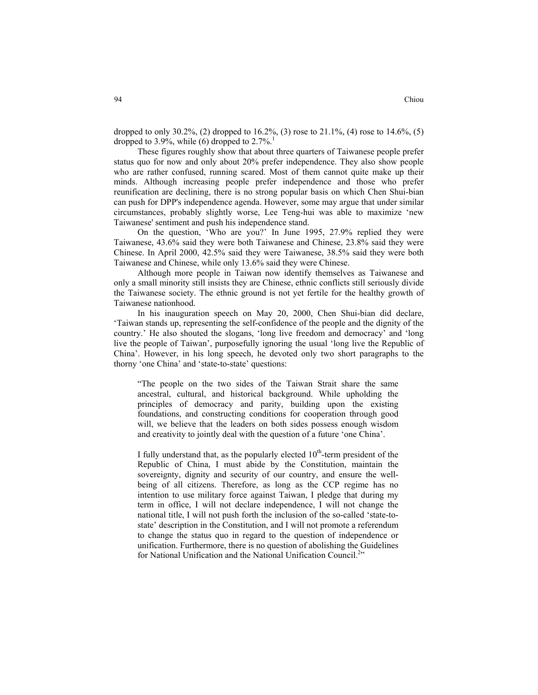dropped to only 30.2%, (2) dropped to  $16.2\%$ , (3) rose to  $21.1\%$ , (4) rose to  $14.6\%$ , (5) dropped to 3.9%, while (6) dropped to  $2.7\%$ <sup>1</sup>

These figures roughly show that about three quarters of Taiwanese people prefer status quo for now and only about 20% prefer independence. They also show people who are rather confused, running scared. Most of them cannot quite make up their minds. Although increasing people prefer independence and those who prefer reunification are declining, there is no strong popular basis on which Chen Shui-bian can push for DPP's independence agenda. However, some may argue that under similar circumstances, probably slightly worse, Lee Teng-hui was able to maximize 'new Taiwanese' sentiment and push his independence stand.

On the question, 'Who are you?' In June 1995, 27.9% replied they were Taiwanese, 43.6% said they were both Taiwanese and Chinese, 23.8% said they were Chinese. In April 2000, 42.5% said they were Taiwanese, 38.5% said they were both Taiwanese and Chinese, while only 13.6% said they were Chinese.

Although more people in Taiwan now identify themselves as Taiwanese and only a small minority still insists they are Chinese, ethnic conflicts still seriously divide the Taiwanese society. The ethnic ground is not yet fertile for the healthy growth of Taiwanese nationhood.

In his inauguration speech on May 20, 2000, Chen Shui-bian did declare, 'Taiwan stands up, representing the self-confidence of the people and the dignity of the country.' He also shouted the slogans, 'long live freedom and democracy' and 'long live the people of Taiwan', purposefully ignoring the usual 'long live the Republic of China'. However, in his long speech, he devoted only two short paragraphs to the thorny 'one China' and 'state-to-state' questions:

"The people on the two sides of the Taiwan Strait share the same ancestral, cultural, and historical background. While upholding the principles of democracy and parity, building upon the existing foundations, and constructing conditions for cooperation through good will, we believe that the leaders on both sides possess enough wisdom and creativity to jointly deal with the question of a future 'one China'.

I fully understand that, as the popularly elected  $10<sup>th</sup>$ -term president of the Republic of China, I must abide by the Constitution, maintain the sovereignty, dignity and security of our country, and ensure the wellbeing of all citizens. Therefore, as long as the CCP regime has no intention to use military force against Taiwan, I pledge that during my term in office, I will not declare independence, I will not change the national title, I will not push forth the inclusion of the so-called 'state-tostate' description in the Constitution, and I will not promote a referendum to change the status quo in regard to the question of independence or unification. Furthermore, there is no question of abolishing the Guidelines for National Unification and the National Unification Council.<sup>2</sup><sup>2</sup>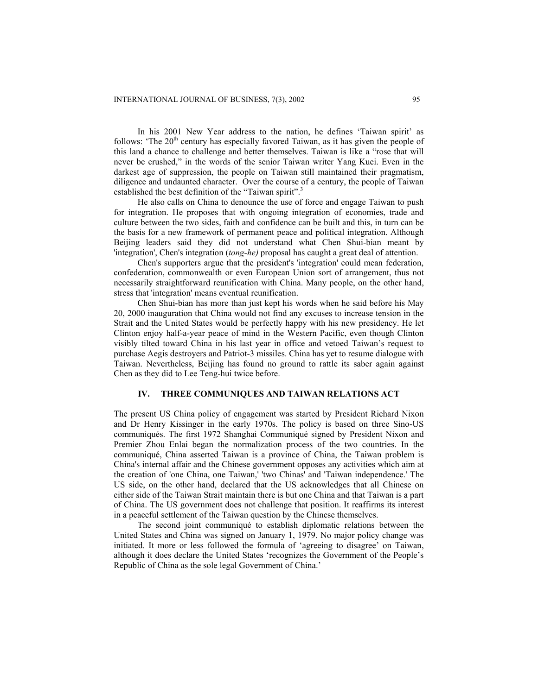In his 2001 New Year address to the nation, he defines 'Taiwan spirit' as follows: 'The  $20<sup>th</sup>$  century has especially favored Taiwan, as it has given the people of this land a chance to challenge and better themselves. Taiwan is like a "rose that will never be crushed," in the words of the senior Taiwan writer Yang Kuei. Even in the darkest age of suppression, the people on Taiwan still maintained their pragmatism, diligence and undaunted character. Over the course of a century, the people of Taiwan established the best definition of the "Taiwan spirit".<sup>3</sup>

He also calls on China to denounce the use of force and engage Taiwan to push for integration. He proposes that with ongoing integration of economies, trade and culture between the two sides, faith and confidence can be built and this, in turn can be the basis for a new framework of permanent peace and political integration. Although Beijing leaders said they did not understand what Chen Shui-bian meant by 'integration', Chen's integration (*tong-he)* proposal has caught a great deal of attention.

Chen's supporters argue that the president's 'integration' could mean federation, confederation, commonwealth or even European Union sort of arrangement, thus not necessarily straightforward reunification with China. Many people, on the other hand, stress that 'integration' means eventual reunification.

Chen Shui-bian has more than just kept his words when he said before his May 20, 2000 inauguration that China would not find any excuses to increase tension in the Strait and the United States would be perfectly happy with his new presidency. He let Clinton enjoy half-a-year peace of mind in the Western Pacific, even though Clinton visibly tilted toward China in his last year in office and vetoed Taiwan's request to purchase Aegis destroyers and Patriot-3 missiles. China has yet to resume dialogue with Taiwan. Nevertheless, Beijing has found no ground to rattle its saber again against Chen as they did to Lee Teng-hui twice before.

## **IV. THREE COMMUNIQUES AND TAIWAN RELATIONS ACT**

The present US China policy of engagement was started by President Richard Nixon and Dr Henry Kissinger in the early 1970s. The policy is based on three Sino-US communiqués. The first 1972 Shanghai Communiqué signed by President Nixon and Premier Zhou Enlai began the normalization process of the two countries. In the communiqué, China asserted Taiwan is a province of China, the Taiwan problem is China's internal affair and the Chinese government opposes any activities which aim at the creation of 'one China, one Taiwan,' 'two Chinas' and 'Taiwan independence.' The US side, on the other hand, declared that the US acknowledges that all Chinese on either side of the Taiwan Strait maintain there is but one China and that Taiwan is a part of China. The US government does not challenge that position. It reaffirms its interest in a peaceful settlement of the Taiwan question by the Chinese themselves.

The second joint communiqué to establish diplomatic relations between the United States and China was signed on January 1, 1979. No major policy change was initiated. It more or less followed the formula of 'agreeing to disagree' on Taiwan, although it does declare the United States 'recognizes the Government of the People's Republic of China as the sole legal Government of China.'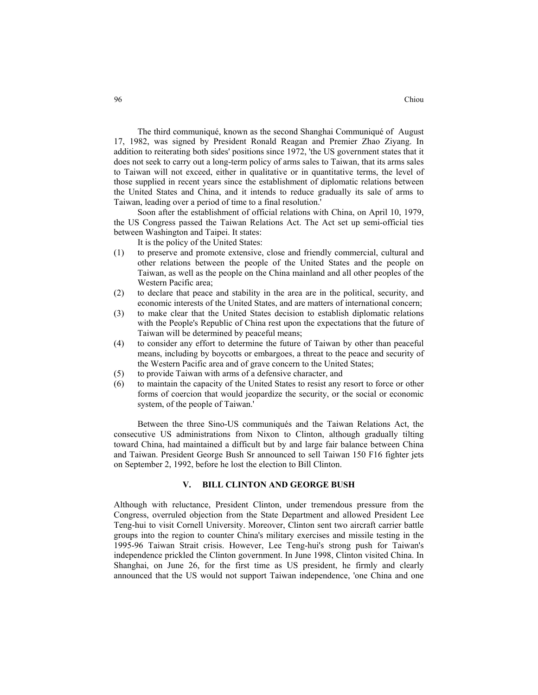The third communiqué, known as the second Shanghai Communiqué of August 17, 1982, was signed by President Ronald Reagan and Premier Zhao Ziyang. In addition to reiterating both sides' positions since 1972, 'the US government states that it does not seek to carry out a long-term policy of arms sales to Taiwan, that its arms sales to Taiwan will not exceed, either in qualitative or in quantitative terms, the level of those supplied in recent years since the establishment of diplomatic relations between the United States and China, and it intends to reduce gradually its sale of arms to Taiwan, leading over a period of time to a final resolution.'

Soon after the establishment of official relations with China, on April 10, 1979, the US Congress passed the Taiwan Relations Act. The Act set up semi-official ties between Washington and Taipei. It states:

It is the policy of the United States:

- (1) to preserve and promote extensive, close and friendly commercial, cultural and other relations between the people of the United States and the people on Taiwan, as well as the people on the China mainland and all other peoples of the Western Pacific area;
- (2) to declare that peace and stability in the area are in the political, security, and economic interests of the United States, and are matters of international concern;
- (3) to make clear that the United States decision to establish diplomatic relations with the People's Republic of China rest upon the expectations that the future of Taiwan will be determined by peaceful means;
- (4) to consider any effort to determine the future of Taiwan by other than peaceful means, including by boycotts or embargoes, a threat to the peace and security of the Western Pacific area and of grave concern to the United States;
- (5) to provide Taiwan with arms of a defensive character, and
- (6) to maintain the capacity of the United States to resist any resort to force or other forms of coercion that would jeopardize the security, or the social or economic system, of the people of Taiwan.'

Between the three Sino-US communiqués and the Taiwan Relations Act, the consecutive US administrations from Nixon to Clinton, although gradually tilting toward China, had maintained a difficult but by and large fair balance between China and Taiwan. President George Bush Sr announced to sell Taiwan 150 F16 fighter jets on September 2, 1992, before he lost the election to Bill Clinton.

#### **V. BILL CLINTON AND GEORGE BUSH**

Although with reluctance, President Clinton, under tremendous pressure from the Congress, overruled objection from the State Department and allowed President Lee Teng-hui to visit Cornell University. Moreover, Clinton sent two aircraft carrier battle groups into the region to counter China's military exercises and missile testing in the 1995-96 Taiwan Strait crisis. However, Lee Teng-hui's strong push for Taiwan's independence prickled the Clinton government. In June 1998, Clinton visited China. In Shanghai, on June 26, for the first time as US president, he firmly and clearly announced that the US would not support Taiwan independence, 'one China and one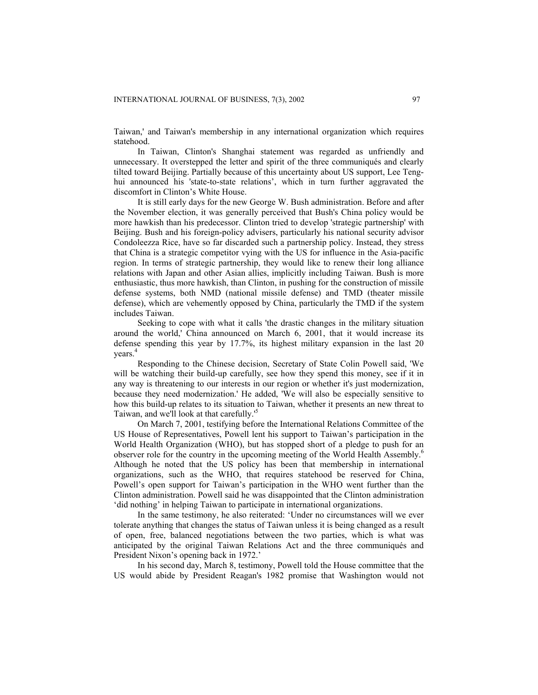Taiwan,' and Taiwan's membership in any international organization which requires statehood.

In Taiwan, Clinton's Shanghai statement was regarded as unfriendly and unnecessary. It overstepped the letter and spirit of the three communiqués and clearly tilted toward Beijing. Partially because of this uncertainty about US support, Lee Tenghui announced his 'state-to-state relations', which in turn further aggravated the discomfort in Clinton's White House.

It is still early days for the new George W. Bush administration. Before and after the November election, it was generally perceived that Bush's China policy would be more hawkish than his predecessor. Clinton tried to develop 'strategic partnership' with Beijing. Bush and his foreign-policy advisers, particularly his national security advisor Condoleezza Rice, have so far discarded such a partnership policy. Instead, they stress that China is a strategic competitor vying with the US for influence in the Asia-pacific region. In terms of strategic partnership, they would like to renew their long alliance relations with Japan and other Asian allies, implicitly including Taiwan. Bush is more enthusiastic, thus more hawkish, than Clinton, in pushing for the construction of missile defense systems, both NMD (national missile defense) and TMD (theater missile defense), which are vehemently opposed by China, particularly the TMD if the system includes Taiwan.

Seeking to cope with what it calls 'the drastic changes in the military situation around the world,' China announced on March 6, 2001, that it would increase its defense spending this year by 17.7%, its highest military expansion in the last 20 years.<sup>4</sup>

Responding to the Chinese decision, Secretary of State Colin Powell said, 'We will be watching their build-up carefully, see how they spend this money, see if it in any way is threatening to our interests in our region or whether it's just modernization, because they need modernization.' He added, 'We will also be especially sensitive to how this build-up relates to its situation to Taiwan, whether it presents an new threat to Taiwan, and we'll look at that carefully.'<sup>5</sup>

On March 7, 2001, testifying before the International Relations Committee of the US House of Representatives, Powell lent his support to Taiwan's participation in the World Health Organization (WHO), but has stopped short of a pledge to push for an observer role for the country in the upcoming meeting of the World Health Assembly. 6 Although he noted that the US policy has been that membership in international organizations, such as the WHO, that requires statehood be reserved for China, Powell's open support for Taiwan's participation in the WHO went further than the Clinton administration. Powell said he was disappointed that the Clinton administration 'did nothing' in helping Taiwan to participate in international organizations.

In the same testimony, he also reiterated: 'Under no circumstances will we ever tolerate anything that changes the status of Taiwan unless it is being changed as a result of open, free, balanced negotiations between the two parties, which is what was anticipated by the original Taiwan Relations Act and the three communiqués and President Nixon's opening back in 1972.'

In his second day, March 8, testimony, Powell told the House committee that the US would abide by President Reagan's 1982 promise that Washington would not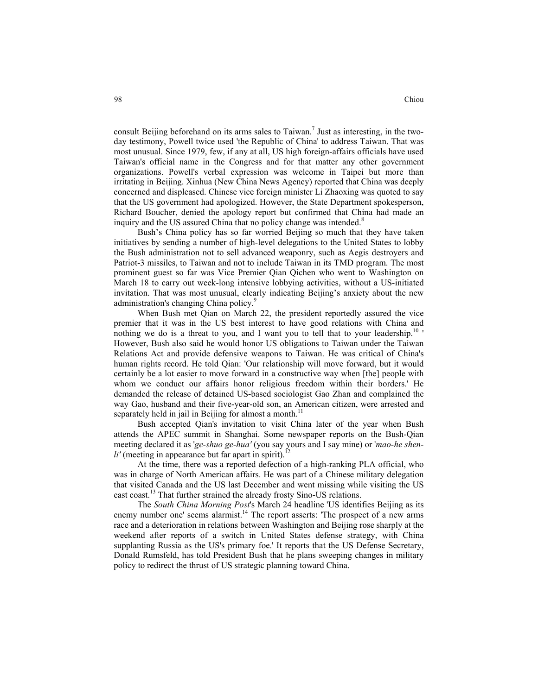consult Beijing beforehand on its arms sales to Taiwan.<sup>7</sup> Just as interesting, in the twoday testimony, Powell twice used 'the Republic of China' to address Taiwan. That was most unusual. Since 1979, few, if any at all, US high foreign-affairs officials have used Taiwan's official name in the Congress and for that matter any other government organizations. Powell's verbal expression was welcome in Taipei but more than irritating in Beijing. Xinhua (New China News Agency) reported that China was deeply concerned and displeased. Chinese vice foreign minister Li Zhaoxing was quoted to say that the US government had apologized. However, the State Department spokesperson, Richard Boucher, denied the apology report but confirmed that China had made an inquiry and the US assured China that no policy change was intended.<sup>8</sup>

Bush's China policy has so far worried Beijing so much that they have taken initiatives by sending a number of high-level delegations to the United States to lobby the Bush administration not to sell advanced weaponry, such as Aegis destroyers and Patriot-3 missiles, to Taiwan and not to include Taiwan in its TMD program. The most prominent guest so far was Vice Premier Qian Qichen who went to Washington on March 18 to carry out week-long intensive lobbying activities, without a US-initiated invitation. That was most unusual, clearly indicating Beijing's anxiety about the new administration's changing China policy.<sup>9</sup>

When Bush met Qian on March 22, the president reportedly assured the vice premier that it was in the US best interest to have good relations with China and nothing we do is a threat to you, and I want you to tell that to your leadership.<sup>10</sup> ' However, Bush also said he would honor US obligations to Taiwan under the Taiwan Relations Act and provide defensive weapons to Taiwan. He was critical of China's human rights record. He told Qian: 'Our relationship will move forward, but it would certainly be a lot easier to move forward in a constructive way when [the] people with whom we conduct our affairs honor religious freedom within their borders.' He demanded the release of detained US-based sociologist Gao Zhan and complained the way Gao, husband and their five-year-old son, an American citizen, were arrested and separately held in jail in Beijing for almost a month.<sup>11</sup>

Bush accepted Qian's invitation to visit China later of the year when Bush attends the APEC summit in Shanghai. Some newspaper reports on the Bush-Qian meeting declared it as '*ge-shuo ge-hua'* (you say yours and I say mine) or '*mao-he shen* $li'$  (meeting in appearance but far apart in spirit).<sup>1</sup>

At the time, there was a reported defection of a high-ranking PLA official, who was in charge of North American affairs. He was part of a Chinese military delegation that visited Canada and the US last December and went missing while visiting the US east coast.<sup>13</sup> That further strained the already frosty Sino-US relations.

The *South China Morning Post*'s March 24 headline 'US identifies Beijing as its enemy number one' seems alarmist.<sup>14</sup> The report asserts: 'The prospect of a new arms race and a deterioration in relations between Washington and Beijing rose sharply at the weekend after reports of a switch in United States defense strategy, with China supplanting Russia as the US's primary foe.' It reports that the US Defense Secretary, Donald Rumsfeld, has told President Bush that he plans sweeping changes in military policy to redirect the thrust of US strategic planning toward China.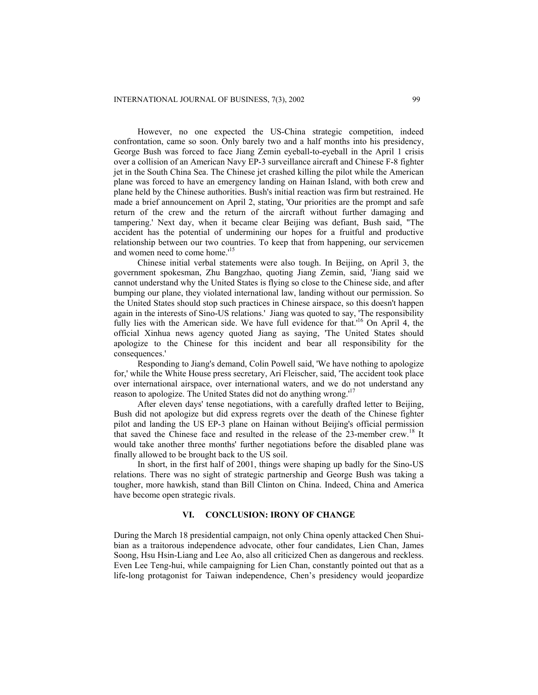However, no one expected the US-China strategic competition, indeed confrontation, came so soon. Only barely two and a half months into his presidency, George Bush was forced to face Jiang Zemin eyeball-to-eyeball in the April 1 crisis over a collision of an American Navy EP-3 surveillance aircraft and Chinese F-8 fighter jet in the South China Sea. The Chinese jet crashed killing the pilot while the American plane was forced to have an emergency landing on Hainan Island, with both crew and plane held by the Chinese authorities. Bush's initial reaction was firm but restrained. He made a brief announcement on April 2, stating, 'Our priorities are the prompt and safe return of the crew and the return of the aircraft without further damaging and tampering.' Next day, when it became clear Beijing was defiant, Bush said, "The accident has the potential of undermining our hopes for a fruitful and productive relationship between our two countries. To keep that from happening, our servicemen and women need to come home.'<sup>15</sup>

Chinese initial verbal statements were also tough. In Beijing, on April 3, the government spokesman, Zhu Bangzhao, quoting Jiang Zemin, said, 'Jiang said we cannot understand why the United States is flying so close to the Chinese side, and after bumping our plane, they violated international law, landing without our permission. So the United States should stop such practices in Chinese airspace, so this doesn't happen again in the interests of Sino-US relations.' Jiang was quoted to say, 'The responsibility fully lies with the American side. We have full evidence for that.'16 On April 4, the official Xinhua news agency quoted Jiang as saying, 'The United States should apologize to the Chinese for this incident and bear all responsibility for the consequences.'

Responding to Jiang's demand, Colin Powell said, 'We have nothing to apologize for,' while the White House press secretary, Ari Fleischer, said, 'The accident took place over international airspace, over international waters, and we do not understand any reason to apologize. The United States did not do anything wrong.<sup>17</sup>

After eleven days' tense negotiations, with a carefully drafted letter to Beijing, Bush did not apologize but did express regrets over the death of the Chinese fighter pilot and landing the US EP-3 plane on Hainan without Beijing's official permission that saved the Chinese face and resulted in the release of the 23-member crew.<sup>18</sup> It would take another three months' further negotiations before the disabled plane was finally allowed to be brought back to the US soil.

In short, in the first half of 2001, things were shaping up badly for the Sino-US relations. There was no sight of strategic partnership and George Bush was taking a tougher, more hawkish, stand than Bill Clinton on China. Indeed, China and America have become open strategic rivals.

## **VI. CONCLUSION: IRONY OF CHANGE**

During the March 18 presidential campaign, not only China openly attacked Chen Shuibian as a traitorous independence advocate, other four candidates, Lien Chan, James Soong, Hsu Hsin-Liang and Lee Ao, also all criticized Chen as dangerous and reckless. Even Lee Teng-hui, while campaigning for Lien Chan, constantly pointed out that as a life-long protagonist for Taiwan independence, Chen's presidency would jeopardize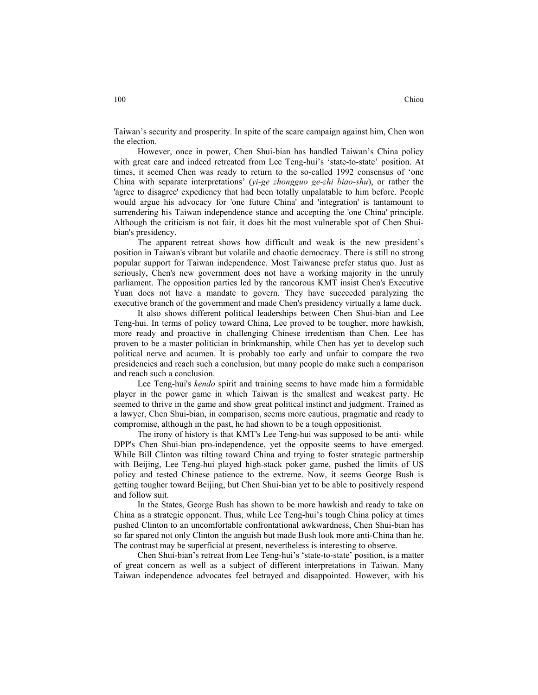Taiwan's security and prosperity. In spite of the scare campaign against him, Chen won the election.

However, once in power, Chen Shui-bian has handled Taiwan's China policy with great care and indeed retreated from Lee Teng-hui's 'state-to-state' position. At times, it seemed Chen was ready to return to the so-called 1992 consensus of 'one China with separate interpretations' (*yi-ge zhongguo ge-zhi biao-shu*), or rather the 'agree to disagree' expediency that had been totally unpalatable to him before. People would argue his advocacy for 'one future China' and 'integration' is tantamount to surrendering his Taiwan independence stance and accepting the 'one China' principle. Although the criticism is not fair, it does hit the most vulnerable spot of Chen Shuibian's presidency.

The apparent retreat shows how difficult and weak is the new president's position in Taiwan's vibrant but volatile and chaotic democracy. There is still no strong popular support for Taiwan independence. Most Taiwanese prefer status quo. Just as seriously, Chen's new government does not have a working majority in the unruly parliament. The opposition parties led by the rancorous KMT insist Chen's Executive Yuan does not have a mandate to govern. They have succeeded paralyzing the executive branch of the government and made Chen's presidency virtually a lame duck.

It also shows different political leaderships between Chen Shui-bian and Lee Teng-hui. In terms of policy toward China, Lee proved to be tougher, more hawkish, more ready and proactive in challenging Chinese irredentism than Chen. Lee has proven to be a master politician in brinkmanship, while Chen has yet to develop such political nerve and acumen. It is probably too early and unfair to compare the two presidencies and reach such a conclusion, but many people do make such a comparison and reach such a conclusion.

Lee Teng-hui's *kendo* spirit and training seems to have made him a formidable player in the power game in which Taiwan is the smallest and weakest party. He seemed to thrive in the game and show great political instinct and judgment. Trained as a lawyer, Chen Shui-bian, in comparison, seems more cautious, pragmatic and ready to compromise, although in the past, he had shown to be a tough oppositionist.

The irony of history is that KMT's Lee Teng-hui was supposed to be anti- while DPP's Chen Shui-bian pro-independence, yet the opposite seems to have emerged. While Bill Clinton was tilting toward China and trying to foster strategic partnership with Beijing, Lee Teng-hui played high-stack poker game, pushed the limits of US policy and tested Chinese patience to the extreme. Now, it seems George Bush is getting tougher toward Beijing, but Chen Shui-bian yet to be able to positively respond and follow suit.

In the States, George Bush has shown to be more hawkish and ready to take on China as a strategic opponent. Thus, while Lee Teng-hui's tough China policy at times pushed Clinton to an uncomfortable confrontational awkwardness, Chen Shui-bian has so far spared not only Clinton the anguish but made Bush look more anti-China than he. The contrast may be superficial at present, nevertheless is interesting to observe.

Chen Shui-bian's retreat from Lee Teng-hui's 'state-to-state' position, is a matter of great concern as well as a subject of different interpretations in Taiwan. Many Taiwan independence advocates feel betrayed and disappointed. However, with his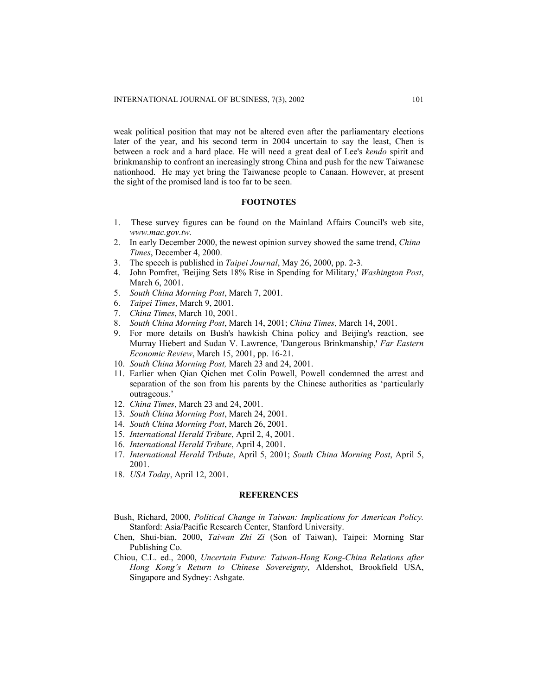weak political position that may not be altered even after the parliamentary elections later of the year, and his second term in 2004 uncertain to say the least, Chen is between a rock and a hard place. He will need a great deal of Lee's *kendo* spirit and brinkmanship to confront an increasingly strong China and push for the new Taiwanese nationhood. He may yet bring the Taiwanese people to Canaan. However, at present the sight of the promised land is too far to be seen.

# **FOOTNOTES**

- 1. These survey figures can be found on the Mainland Affairs Council's web site, *www.mac.gov.tw.*
- 2. In early December 2000, the newest opinion survey showed the same trend, *China Times*, December 4, 2000.
- 3. The speech is published in *Taipei Journal*, May 26, 2000, pp. 2-3.
- 4. John Pomfret, 'Beijing Sets 18% Rise in Spending for Military,' *Washington Post*, March 6, 2001.
- 5. *South China Morning Post*, March 7, 2001.
- 6. *Taipei Times*, March 9, 2001.
- 7. *China Times*, March 10, 2001.
- 8. *South China Morning Post*, March 14, 2001; *China Times*, March 14, 2001.
- 9. For more details on Bush's hawkish China policy and Beijing's reaction, see Murray Hiebert and Sudan V. Lawrence, 'Dangerous Brinkmanship,' *Far Eastern Economic Review*, March 15, 2001, pp. 16-21.
- 10. *South China Morning Post,* March 23 and 24, 2001.
- 11. Earlier when Qian Qichen met Colin Powell, Powell condemned the arrest and separation of the son from his parents by the Chinese authorities as 'particularly outrageous.'
- 12. *China Times*, March 23 and 24, 2001.
- 13. *South China Morning Post*, March 24, 2001.
- 14. *South China Morning Post*, March 26, 2001.
- 15. *International Herald Tribute*, April 2, 4, 2001.
- 16. *International Herald Tribute*, April 4, 2001.
- 17. *International Herald Tribute*, April 5, 2001; *South China Morning Post*, April 5, 2001.
- 18. *USA Today*, April 12, 2001.

#### **REFERENCES**

- Bush, Richard, 2000, *Political Change in Taiwan: Implications for American Policy.*  Stanford: Asia/Pacific Research Center, Stanford University.
- Chen, Shui-bian, 2000, *Taiwan Zhi Zi* (Son of Taiwan), Taipei: Morning Star Publishing Co.
- Chiou, C.L. ed., 2000, *Uncertain Future: Taiwan-Hong Kong-China Relations after Hong Kong's Return to Chinese Sovereignty*, Aldershot, Brookfield USA, Singapore and Sydney: Ashgate.